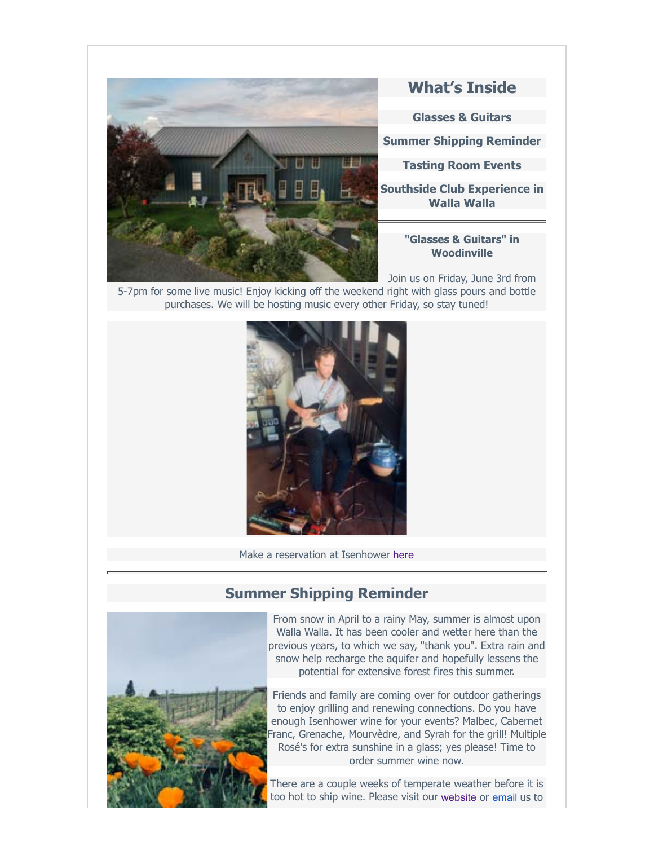

# **What's Inside**

**Glasses & Guitars**

**Summer Shipping Reminder**

**Tasting Room Events**

**Southside Club Experience in Walla Walla**

#### **"Glasses & Guitars" in Woodinville**

Join us on Friday, June 3rd from 5-7pm for some live music! Enjoy kicking off the weekend right with glass pours and bottle purchases. We will be hosting music every other Friday, so stay tuned!



Make a reservation at Isenhower [here](http://www.isenhowercellars.com/)

## **Summer Shipping Reminder**



From snow in April to a rainy May, summer is almost upon Walla Walla. It has been cooler and wetter here than the previous years, to which we say, "thank you". Extra rain and snow help recharge the aquifer and hopefully lessens the potential for extensive forest fires this summer.

Friends and family are coming over for outdoor gatherings to enjoy grilling and renewing connections. Do you have enough Isenhower wine for your events? Malbec, Cabernet Franc, Grenache, Mourvèdre, and Syrah for the grill! Multiple Rosé's for extra sunshine in a glass; yes please! Time to order summer wine now.

There are a couple weeks of temperate weather before it is too hot to ship wine. Please visit our [website](https://isenhowercellars.orderport.net/wines/Current-Releases) or [email](http://info@isenhowrcellars.com/) us to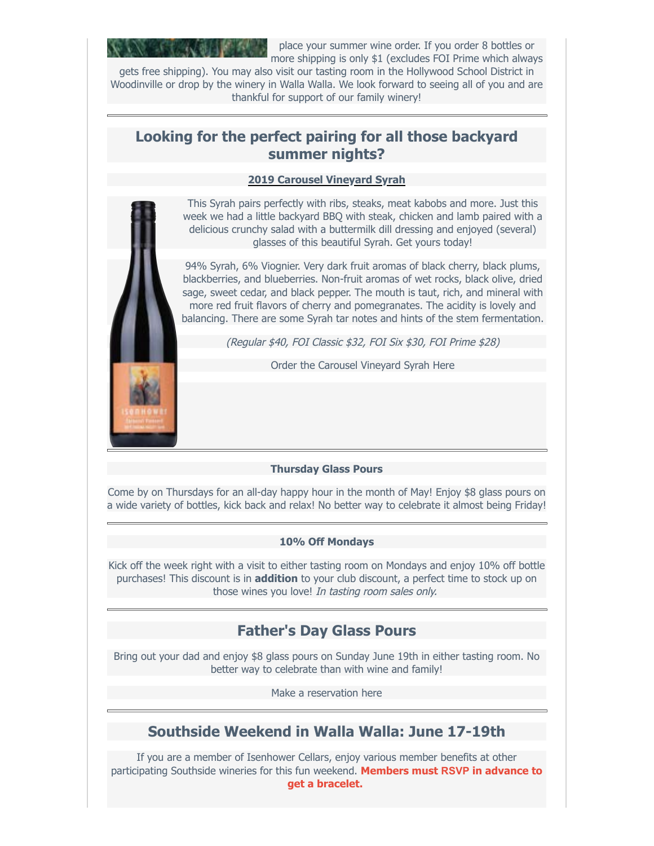

place your summer wine order. If you order 8 bottles or more shipping is only \$1 (excludes FOI Prime which always

gets free shipping). You may also visit our tasting room in the Hollywood School District in Woodinville or drop by the winery in Walla Walla. We look forward to seeing all of you and are thankful for support of our family winery!

### **Looking for the perfect pairing for all those backyard summer nights?**

#### **2019 Carousel Vineyard Syrah**

This Syrah pairs perfectly with ribs, steaks, meat kabobs and more. Just this week we had a little backyard BBQ with steak, chicken and lamb paired with a delicious crunchy salad with a buttermilk dill dressing and enjoyed (several) glasses of this beautiful Syrah. Get yours today!

94% Syrah, 6% Viognier. Very dark fruit aromas of black cherry, black plums, blackberries, and blueberries. Non-fruit aromas of wet rocks, black olive, dried sage, sweet cedar, and black pepper. The mouth is taut, rich, and mineral with more red fruit flavors of cherry and pomegranates. The acidity is lovely and balancing. There are some Syrah tar notes and hints of the stem fermentation.

(Regular \$40, FOI Classic \$32, FOI Six \$30, FOI Prime \$28)

[Order the Carousel Vineyard Syrah Here](https://isenhowercellars.orderport.net/product-details/0750/2019-Carousel-Vineyard-Syrah)

#### **Thursday Glass Pours**

Come by on Thursdays for an all-day happy hour in the month of May! Enjoy \$8 glass pours on a wide variety of bottles, kick back and relax! No better way to celebrate it almost being Friday!

#### **10% Off Mondays**

Kick off the week right with a visit to either tasting room on Mondays and enjoy 10% off bottle purchases! This discount is in **addition** to your club discount, a perfect time to stock up on those wines you love! In tasting room sales only.

# **Father's Day Glass Pours**

Bring out your dad and enjoy \$8 glass pours on Sunday June 19th in either tasting room. No better way to celebrate than with wine and family!

[Make a reservation here](https://isenhowercellars.com/)

# **Southside Weekend in Walla Walla: June 17-19th**

If you are a member of Isenhower Cellars, enjoy various member benefits at other participating Southside wineries for this fun weekend. **Members must [RSVP](mailto:awnya@isenhowercellars.com?subject=RSVP%20for%20Southside%20Release%20weekend) in advance to get a bracelet.**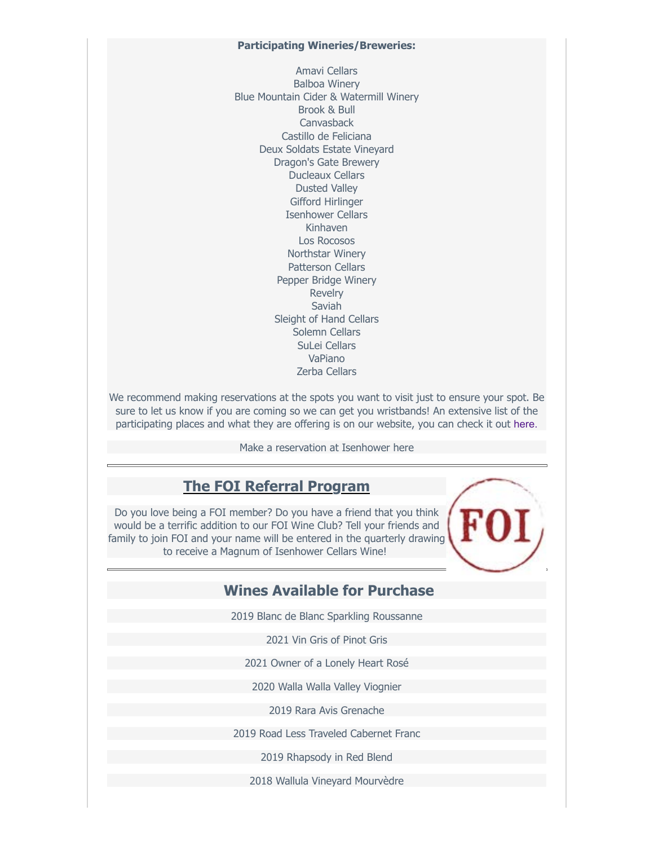#### **Participating Wineries/Breweries:**

Amavi Cellars Balboa Winery Blue Mountain Cider & Watermill Winery Brook & Bull Canvasback Castillo de Feliciana Deux Soldats Estate Vineyard Dragon's Gate Brewery Ducleaux Cellars Dusted Valley Gifford Hirlinger Isenhower Cellars Kinhaven Los Rocosos Northstar Winery Patterson Cellars Pepper Bridge Winery Revelry Saviah Sleight of Hand Cellars Solemn Cellars SuLei Cellars VaPiano Zerba Cellars

We recommend making reservations at the spots you want to visit just to ensure your spot. Be sure to let us know if you are coming so we can get you wristbands! An extensive list of the participating places and what they are offering is on our website, you can check it out [here.](https://isenhowercellars.com/events-and-news.html)

[Make a reservation at Isenhower here](https://isenhowercellars.com/)

## **The FOI Referral Program**

Do you love being a FOI member? Do you have a friend that you think would be a terrific addition to our FOI Wine Club? Tell your friends and family to join FOI and your name will be entered in the quarterly drawing to receive a Magnum of Isenhower Cellars Wine!

### **Wines Available for Purchase**

2019 Blanc de Blanc Sparkling Roussanne

2021 Vin Gris of Pinot Gris

2021 Owner of a Lonely Heart Rosé

2020 Walla Walla Valley Viognier

2019 Rara Avis Grenache

2019 Road Less Traveled Cabernet Franc

2019 Rhapsody in Red Blend

2018 Wallula Vineyard Mourvèdre